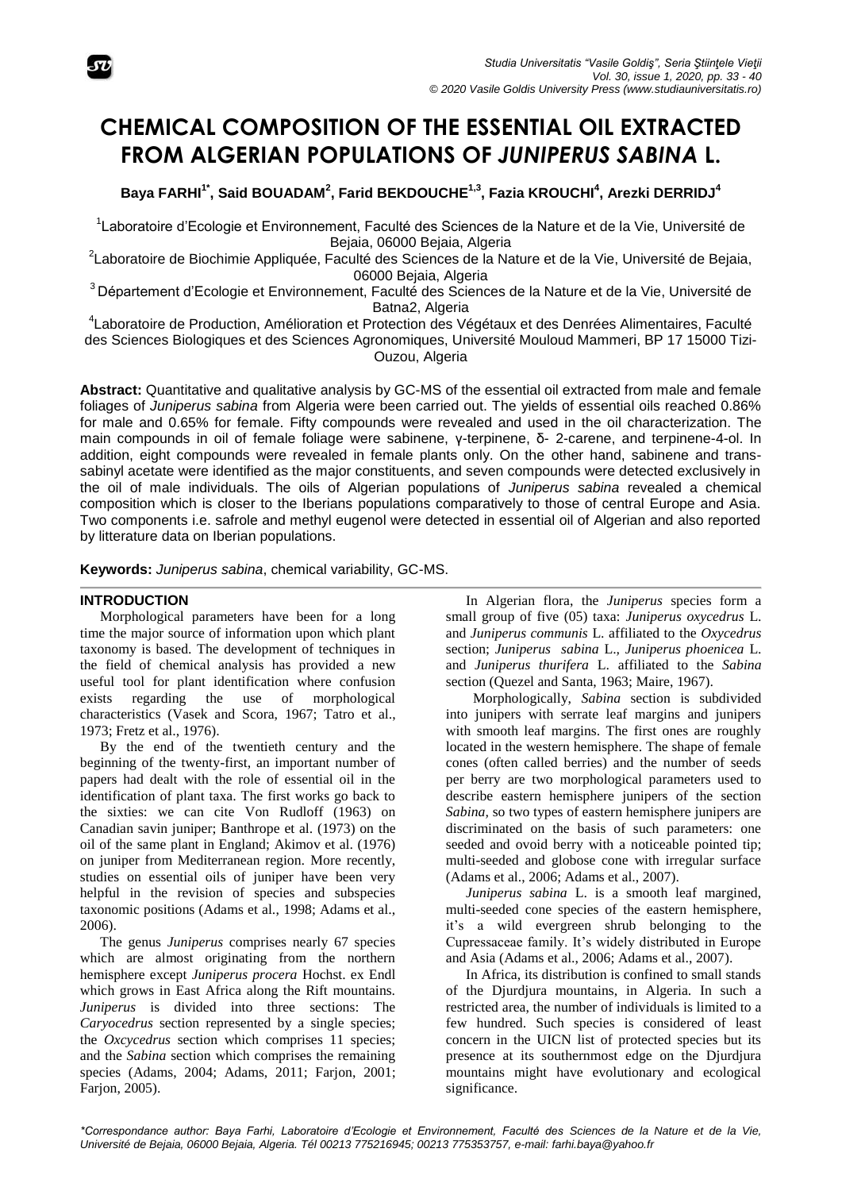

# **CHEMICAL COMPOSITION OF THE ESSENTIAL OIL EXTRACTED FROM ALGERIAN POPULATIONS OF** *JUNIPERUS SABINA* **L.**

**Baya FARHI1\* , Said BOUADAM<sup>2</sup> , Farid BEKDOUCHE1,3 , Fazia KROUCHI<sup>4</sup> , Arezki DERRIDJ<sup>4</sup>**

<sup>1</sup>Laboratoire d'Ecologie et Environnement, Faculté des Sciences de la Nature et de la Vie, Université de Bejaia, 06000 Bejaia, Algeria

<sup>2</sup>Laboratoire de Biochimie Appliquée, Faculté des Sciences de la Nature et de la Vie, Université de Bejaia, 06000 Bejaia, Algeria

<sup>3</sup> Département d'Ecologie et Environnement, Faculté des Sciences de la Nature et de la Vie, Université de Batna2, Algeria

4 Laboratoire de Production, Amélioration et Protection des Végétaux et des Denrées Alimentaires, Faculté des Sciences Biologiques et des Sciences Agronomiques, Université Mouloud Mammeri, BP 17 15000 Tizi-Ouzou, Algeria

**Abstract:** Quantitative and qualitative analysis by GC-MS of the essential oil extracted from male and female foliages of *Juniperus sabina* from Algeria were been carried out. The yields of essential oils reached 0.86% for male and 0.65% for female. Fifty compounds were revealed and used in the oil characterization. The main compounds in oil of female foliage were sabinene, γ-terpinene, δ- 2-carene, and terpinene-4-ol. In addition, eight compounds were revealed in female plants only. On the other hand, sabinene and transsabinyl acetate were identified as the major constituents, and seven compounds were detected exclusively in the oil of male individuals. The oils of Algerian populations of *Juniperus sabina* revealed a chemical composition which is closer to the Iberians populations comparatively to those of central Europe and Asia. Two components i.e. safrole and methyl eugenol were detected in essential oil of Algerian and also reported by litterature data on Iberian populations.

**Keywords:** *Juniperus sabina*, chemical variability, GC-MS.

## **INTRODUCTION**

Morphological parameters have been for a long time the major source of information upon which plant taxonomy is based. The development of techniques in the field of chemical analysis has provided a new useful tool for plant identification where confusion exists regarding the use of morphological characteristics (Vasek and Scora, 1967; Tatro et al., 1973; Fretz et al., 1976).

By the end of the twentieth century and the beginning of the twenty-first, an important number of papers had dealt with the role of essential oil in the identification of plant taxa. The first works go back to the sixties: we can cite Von Rudloff (1963) on Canadian savin juniper; Banthrope et al. (1973) on the oil of the same plant in England; Akimov et al. (1976) on juniper from Mediterranean region*.* More recently, studies on essential oils of juniper have been very helpful in the revision of species and subspecies taxonomic positions (Adams et al., 1998; Adams et al., 2006).

The genus *Juniperus* comprises nearly 67 species which are almost originating from the northern hemisphere except *Juniperus procera* Hochst. ex Endl which grows in East Africa along the Rift mountains. *Juniperus* is divided into three sections: The *Caryocedrus* section represented by a single species; the *Oxcycedrus* section which comprises 11 species; and the *Sabina* section which comprises the remaining species (Adams, 2004; Adams, 2011; Farjon, 2001; Farjon, 2005).

In Algerian flora, the *Juniperus* species form a small group of five (05) taxa: *Juniperus oxycedrus* L. and *Juniperus communis* L. affiliated to the *Oxycedrus* section; *Juniperus sabina* L.*, Juniperus phoenicea* L. and *Juniperus thurifera* L. affiliated to the *Sabina* section (Quezel and Santa, 1963; Maire, 1967).

Morphologically, *Sabina* section is subdivided into junipers with serrate leaf margins and junipers with smooth leaf margins. The first ones are roughly located in the western hemisphere. The shape of female cones (often called berries) and the number of seeds per berry are two morphological parameters used to describe eastern hemisphere junipers of the section *Sabina,* so two types of eastern hemisphere junipers are discriminated on the basis of such parameters: one seeded and ovoid berry with a noticeable pointed tip; multi-seeded and globose cone with irregular surface (Adams et al., 2006; Adams et al., 2007).

*Juniperus sabina* L. is a smooth leaf margined, multi-seeded cone species of the eastern hemisphere, it's a wild evergreen shrub belonging to the Cupressaceae family. It's widely distributed in Europe and Asia (Adams et al., 2006; Adams et al., 2007).

In Africa, its distribution is confined to small stands of the Djurdjura mountains, in Algeria. In such a restricted area, the number of individuals is limited to a few hundred. Such species is considered of least concern in the UICN list of protected species but its presence at its southernmost edge on the Djurdjura mountains might have evolutionary and ecological significance.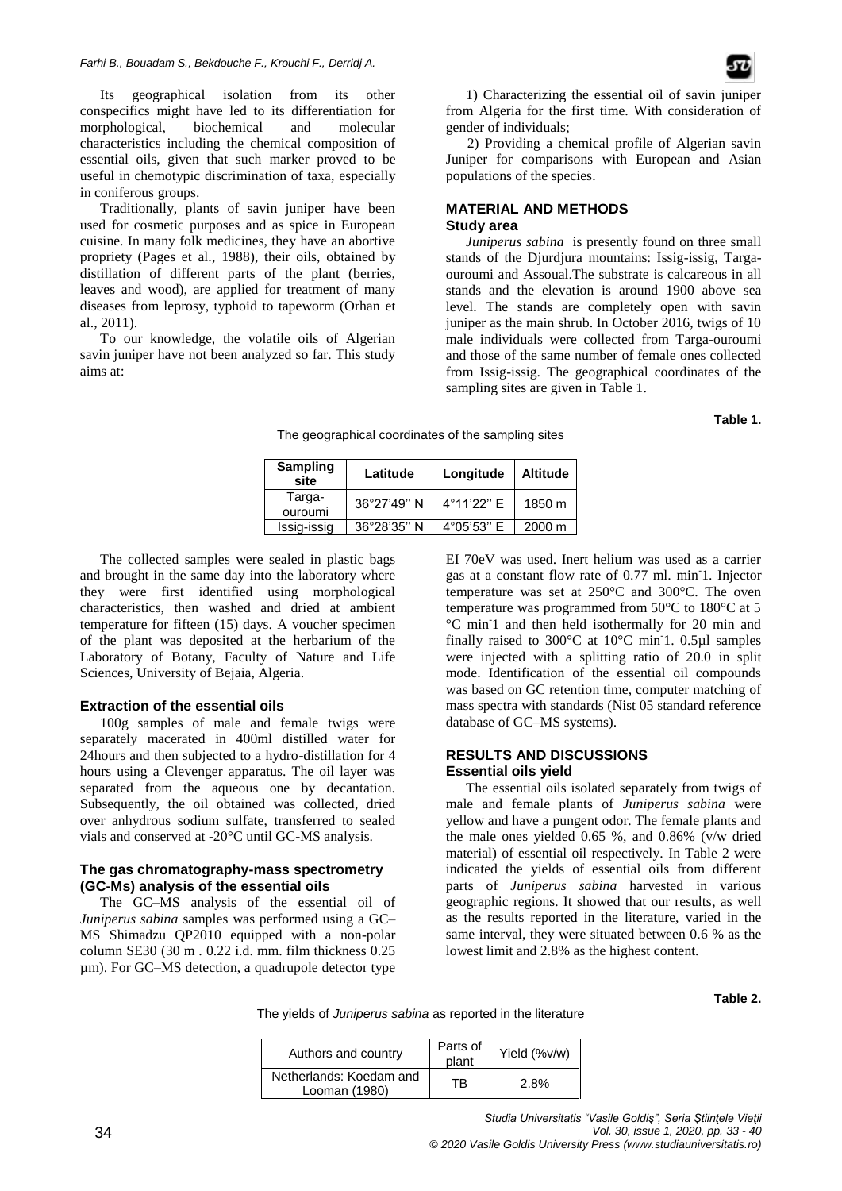Its geographical isolation from its other conspecifics might have led to its differentiation for morphological, biochemical and molecular characteristics including the chemical composition of essential oils, given that such marker proved to be useful in chemotypic discrimination of taxa, especially in coniferous groups.

Traditionally, plants of savin juniper have been used for cosmetic purposes and as spice in European cuisine. In many folk medicines, they have an abortive propriety (Pages et al., 1988), their oils, obtained by distillation of different parts of the plant (berries, leaves and wood), are applied for treatment of many diseases from leprosy, typhoid to tapeworm (Orhan et al., 2011).

To our knowledge, the volatile oils of Algerian savin juniper have not been analyzed so far. This study aims at:

 2) Providing a chemical profile of Algerian savin Juniper for comparisons with European and Asian populations of the species.

#### **MATERIAL AND METHODS Study area**

*Juniperus sabina* is presently found on three small stands of the Djurdjura mountains: Issig-issig, Targaouroumi and Assoual.The substrate is calcareous in all stands and the elevation is around 1900 above sea level. The stands are completely open with savin juniper as the main shrub. In October 2016, twigs of 10 male individuals were collected from Targa-ouroumi and those of the same number of female ones collected from Issig-issig. The geographical coordinates of the sampling sites are given in Table 1.

**Table 1.** 

The geographical coordinates of the sampling sites

| <b>Sampling</b><br>site | Latitude             | Longitude           | <b>Altitude</b>  |
|-------------------------|----------------------|---------------------|------------------|
| Targa-<br>ouroumi       | 36°27'49" N          | 4°11'22" E          | 1850 m           |
| Issig-issig             | $36^{\circ}28'35"$ N | $4^{\circ}05'53"$ E | $2000 \text{ m}$ |

The collected samples were sealed in plastic bags and brought in the same day into the laboratory where they were first identified using morphological characteristics, then washed and dried at ambient temperature for fifteen (15) days. A voucher specimen of the plant was deposited at the herbarium of the Laboratory of Botany, Faculty of Nature and Life Sciences, University of Bejaia, Algeria.

## **Extraction of the essential oils**

100g samples of male and female twigs were separately macerated in 400ml distilled water for 24hours and then subjected to a hydro-distillation for 4 hours using a Clevenger apparatus. The oil layer was separated from the aqueous one by decantation. Subsequently, the oil obtained was collected, dried over anhydrous sodium sulfate, transferred to sealed vials and conserved at -20°C until GC-MS analysis.

#### **The gas chromatography-mass spectrometry (GC-Ms) analysis of the essential oils**

The GC–MS analysis of the essential oil of *Juniperus sabina* samples was performed using a GC– MS Shimadzu QP2010 equipped with a non-polar column SE30 (30 m . 0.22 i.d. mm. film thickness 0.25 µm). For GC–MS detection, a quadrupole detector type

EI 70eV was used. Inert helium was used as a carrier gas at a constant flow rate of 0.77 ml. min-1. Injector temperature was set at 250°C and 300°C. The oven temperature was programmed from 50°C to 180°C at 5 °C min-1 and then held isothermally for 20 min and finally raised to 300°C at 10°C min<sup>-1</sup>. 0.5 $\mu$ l samples were injected with a splitting ratio of 20.0 in split mode. Identification of the essential oil compounds was based on GC retention time, computer matching of mass spectra with standards (Nist 05 standard reference database of GC–MS systems).

#### **RESULTS AND DISCUSSIONS Essential oils yield**

The essential oils isolated separately from twigs of male and female plants of *Juniperus sabina* were yellow and have a pungent odor. The female plants and the male ones yielded 0.65 %, and 0.86% (v/w dried material) of essential oil respectively. In Table 2 were indicated the yields of essential oils from different parts of *Juniperus sabina* harvested in various geographic regions. It showed that our results, as well as the results reported in the literature, varied in the same interval, they were situated between 0.6 % as the lowest limit and 2.8% as the highest content.

**Table 2.** 

The yields of *Juniperus sabina* as reported in the literature

| Authors and country                      | Parts of<br>plant | Yield (%v/w) |
|------------------------------------------|-------------------|--------------|
| Netherlands: Koedam and<br>Looman (1980) | ТB                | 2.8%         |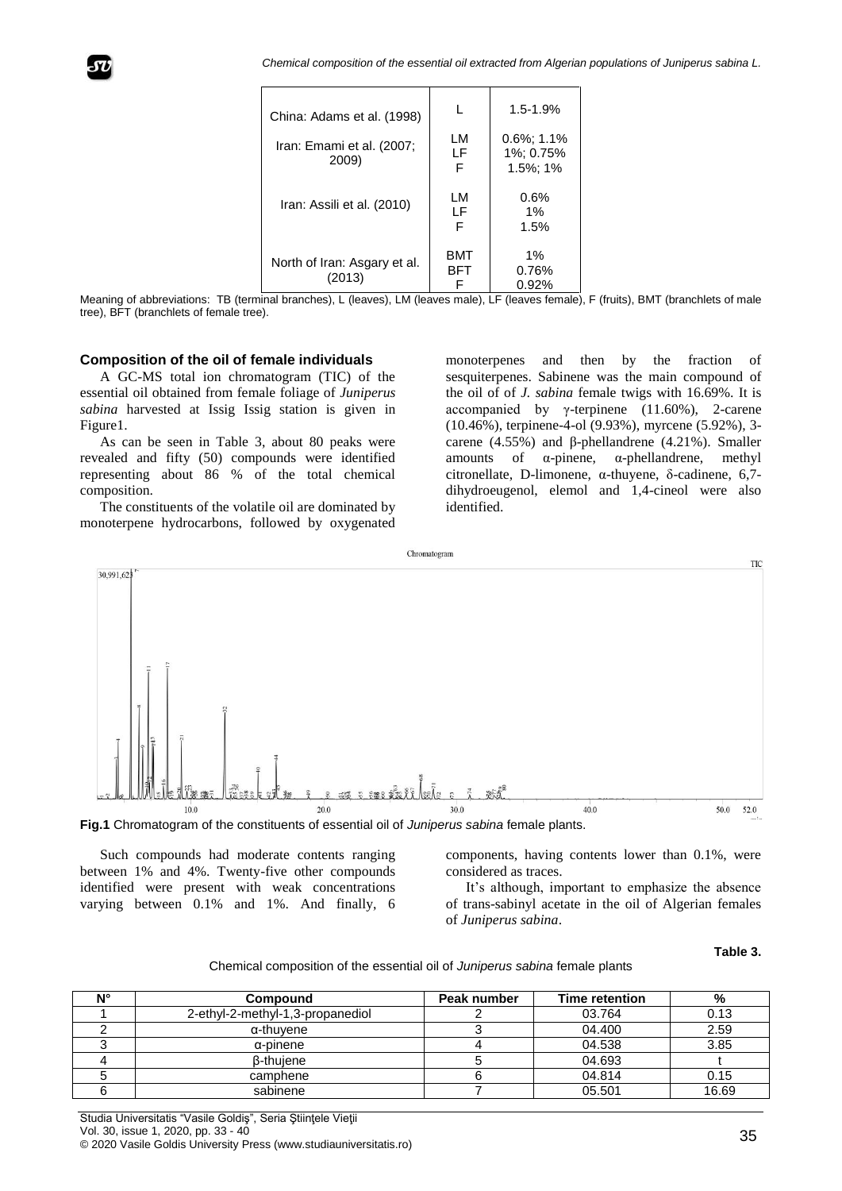*Chemical composition of the essential oil extracted from Algerian populations of Juniperus sabina L.*

| China: Adams et al. (1998)             |               | $1.5 - 1.9%$                                |
|----------------------------------------|---------------|---------------------------------------------|
| Iran: Emami et al. (2007;<br>2009)     | LM<br>LF<br>F | $0.6\%$ ; 1.1%<br>1%: 0.75%<br>$1.5\%$ ; 1% |
| Iran: Assili et al. (2010)             | LM<br>LF<br>F | 0.6%<br>$1\%$<br>1.5%                       |
| North of Iran: Asgary et al.<br>(2013) | BMT<br>BFT    | 1%<br>0.76%<br>0.92%                        |

Meaning of abbreviations: TB (terminal branches), L (leaves), LM (leaves male), LF (leaves female), F (fruits), BMT (branchlets of male tree), BFT (branchlets of female tree).

#### **Composition of the oil of female individuals**

A GC-MS total ion chromatogram (TIC) of the essential oil obtained from female foliage of *Juniperus sabina* harvested at Issig Issig station is given in Figure1.

As can be seen in Table 3, about 80 peaks were revealed and fifty (50) compounds were identified representing about 86 % of the total chemical composition.

The constituents of the volatile oil are dominated by monoterpene hydrocarbons, followed by oxygenated

monoterpenes and then by the fraction of sesquiterpenes. Sabinene was the main compound of the oil of of *J. sabina* female twigs with 16.69%. It is accompanied by γ-terpinene  $(11.60\%)$ , 2-carene (10.46%), terpinene-4-ol (9.93%), myrcene (5.92%), 3 carene (4.55%) and β-phellandrene (4.21%). Smaller amounts of α-pinene, α-phellandrene, methyl citronellate, D-limonene, α-thuyene, δ-cadinene, 6,7 dihydroeugenol, elemol and 1,4-cineol were also identified.



**Fig.1** Chromatogram of the constituents of essential oil of *Juniperus sabina* female plants.

Such compounds had moderate contents ranging between 1% and 4%. Twenty-five other compounds identified were present with weak concentrations varying between 0.1% and 1%. And finally, 6

components, having contents lower than 0.1%, were considered as traces.

It's although, important to emphasize the absence of trans-sabinyl acetate in the oil of Algerian females of *Juniperus sabina*.

## **Table 3.**

Chemical composition of the essential oil of *Juniperus sabina* female plants

| <b>NIº</b> | Compound                         | Peak number | Time retention | %     |
|------------|----------------------------------|-------------|----------------|-------|
|            | 2-ethyl-2-methyl-1,3-propanediol |             | 03.764         | 0.13  |
|            | α-thuvene                        |             | 04.400         | 2.59  |
|            | $\alpha$ -pinene                 |             | 04.538         | 3.85  |
|            | <b>B-thuiene</b>                 |             | 04.693         |       |
|            | camphene                         |             | 04.814         | 0.15  |
|            | sabinene                         |             | 05.501         | 16.69 |

Studia Universitatis "Vasile Goldiş", Seria Ştiinţele Vieţii Vol. 30, issue 1, 2020, pp. 33 - 40 © 2020 Vasile Goldis University Press (www.studiauniversitatis.ro)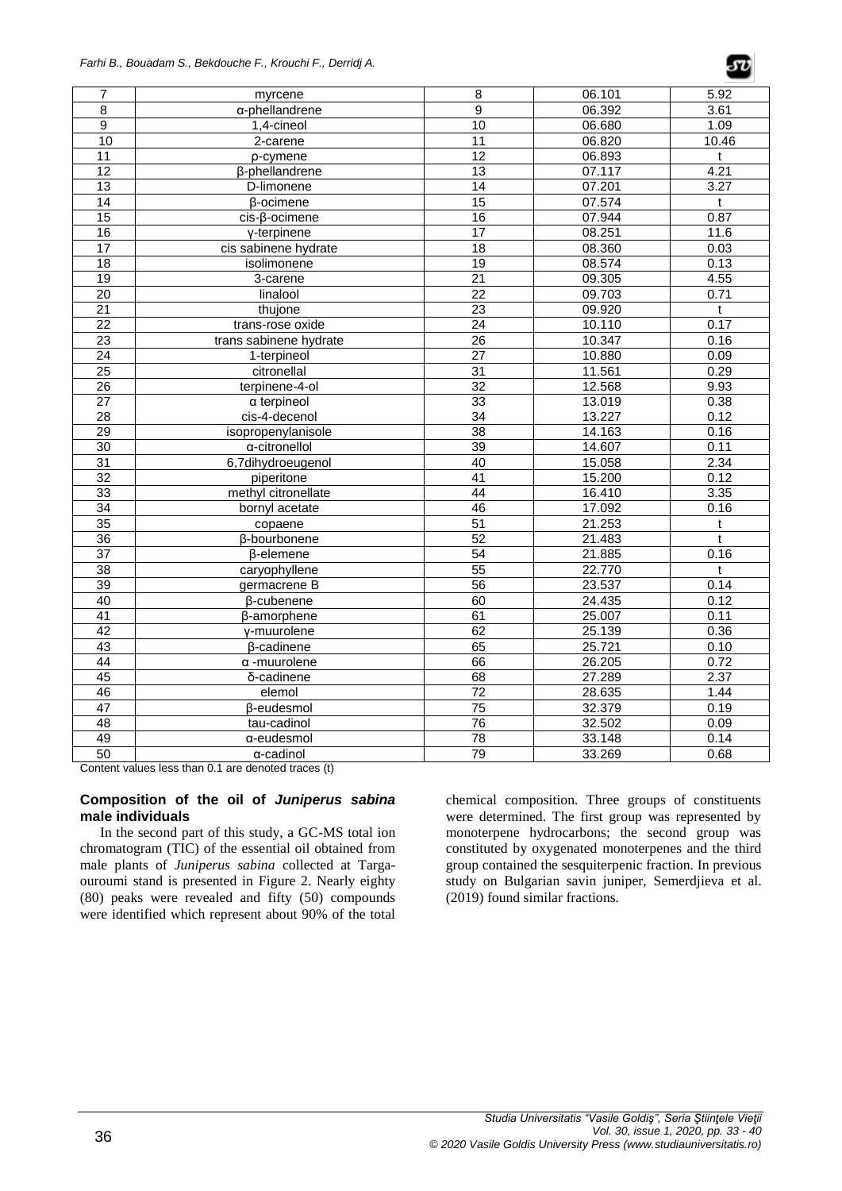

| 7               | myrcene                       | 8               | 06.101 | 5.92  |
|-----------------|-------------------------------|-----------------|--------|-------|
| 8               | α-phellandrene                | $\overline{9}$  | 06.392 | 3.61  |
| $\overline{9}$  | 1,4-cineol                    | $\overline{10}$ | 06.680 | 1.09  |
| 10              | 2-carene                      | 11              | 06.820 | 10.46 |
| 11              | p-cymene                      | 12              | 06.893 | t     |
| $\overline{12}$ | β-phellandrene                | 13              | 07.117 | 4.21  |
| $\overline{13}$ | D-limonene                    | $\overline{14}$ | 07.201 | 3.27  |
| 14              | β-ocimene                     | $\overline{15}$ | 07.574 | t     |
| $\overline{15}$ | cis-β-ocimene                 | 16              | 07.944 | 0.87  |
| 16              | y-terpinene                   | $\overline{17}$ | 08.251 | 11.6  |
| $\overline{17}$ | cis sabinene hydrate          | $\overline{18}$ | 08.360 | 0.03  |
| 18              | isolimonene                   | $\overline{19}$ | 08.574 | 0.13  |
| $\overline{19}$ | 3-carene                      | $\overline{21}$ | 09.305 | 4.55  |
| 20              | linalool                      | $\overline{22}$ | 09.703 | 0.71  |
| 21              | thujone                       | $\overline{23}$ | 09.920 | t     |
| $\overline{22}$ | trans-rose oxide              | $\overline{24}$ | 10.110 | 0.17  |
| $\overline{23}$ | trans sabinene hydrate        | $\overline{26}$ | 10.347 | 0.16  |
| $\overline{24}$ | 1-terpineol                   | $\overline{27}$ | 10.880 | 0.09  |
| $\overline{25}$ | citronellal                   | $\overline{31}$ | 11.561 | 0.29  |
| 26              | terpinene-4-ol                | 32              | 12.568 | 9.93  |
| $\overline{27}$ | $\alpha$ terpineol            | 33              | 13.019 | 0.38  |
| 28              | cis-4-decenol                 | 34              | 13.227 | 0.12  |
| 29              | isopropenylanisole            | 38              | 14.163 | 0.16  |
| 30              | a-citronellol                 | 39              | 14.607 | 0.11  |
| 31              | 6,7dihydroeugenol             | 40              | 15.058 | 2.34  |
| $\overline{32}$ | piperitone                    | $\overline{41}$ | 15.200 | 0.12  |
| 33              | methyl citronellate           | 44              | 16.410 | 3.35  |
| $\overline{34}$ | bornyl acetate                | 46              | 17.092 | 0.16  |
| 35              | copaene                       | $\overline{51}$ | 21.253 | t     |
| 36              | <b>B-bourbonene</b>           | 52              | 21.483 | t     |
| $\overline{37}$ | β-elemene                     | 54              | 21.885 | 0.16  |
| $\overline{38}$ | caryophyllene                 | 55              | 22.770 | t     |
| 39              | germacrene B                  | $\overline{56}$ | 23.537 | 0.14  |
| 40              | β-cubenene                    | 60              | 24.435 | 0.12  |
| 41              | β-amorphene                   | 61              | 25.007 | 0.11  |
| 42              | y-muurolene                   | 62              | 25.139 | 0.36  |
| 43              | β-cadinene                    | 65              | 25.721 | 0.10  |
| 44              | $\alpha$ -muurolene           | 66              | 26.205 | 0.72  |
| $\overline{45}$ | $\overline{\delta}$ -cadinene | $\overline{68}$ | 27.289 | 2.37  |
| 46              | elemol                        | 72              | 28.635 | 1.44  |
| 47              | β-eudesmol                    | 75              | 32.379 | 0.19  |
| $\overline{48}$ | tau-cadinol                   | 76              | 32.502 | 0.09  |
| 49              | α-eudesmol                    | 78              | 33.148 | 0.14  |
| 50              | α-cadinol                     | 79              | 33.269 | 0.68  |

Content values less than 0.1 are denoted traces (t)

## **Composition of the oil of** *Juniperus sabina* **male individuals**

In the second part of this study, a GC-MS total ion chromatogram (TIC) of the essential oil obtained from male plants of *Juniperus sabina* collected at Targaouroumi stand is presented in Figure 2. Nearly eighty (80) peaks were revealed and fifty (50) compounds were identified which represent about 90% of the total

chemical composition. Three groups of constituents were determined. The first group was represented by monoterpene hydrocarbons; the second group was constituted by oxygenated monoterpenes and the third group contained the sesquiterpenic fraction. In previous study on Bulgarian savin juniper, Semerdjieva et al. (2019) found similar fractions.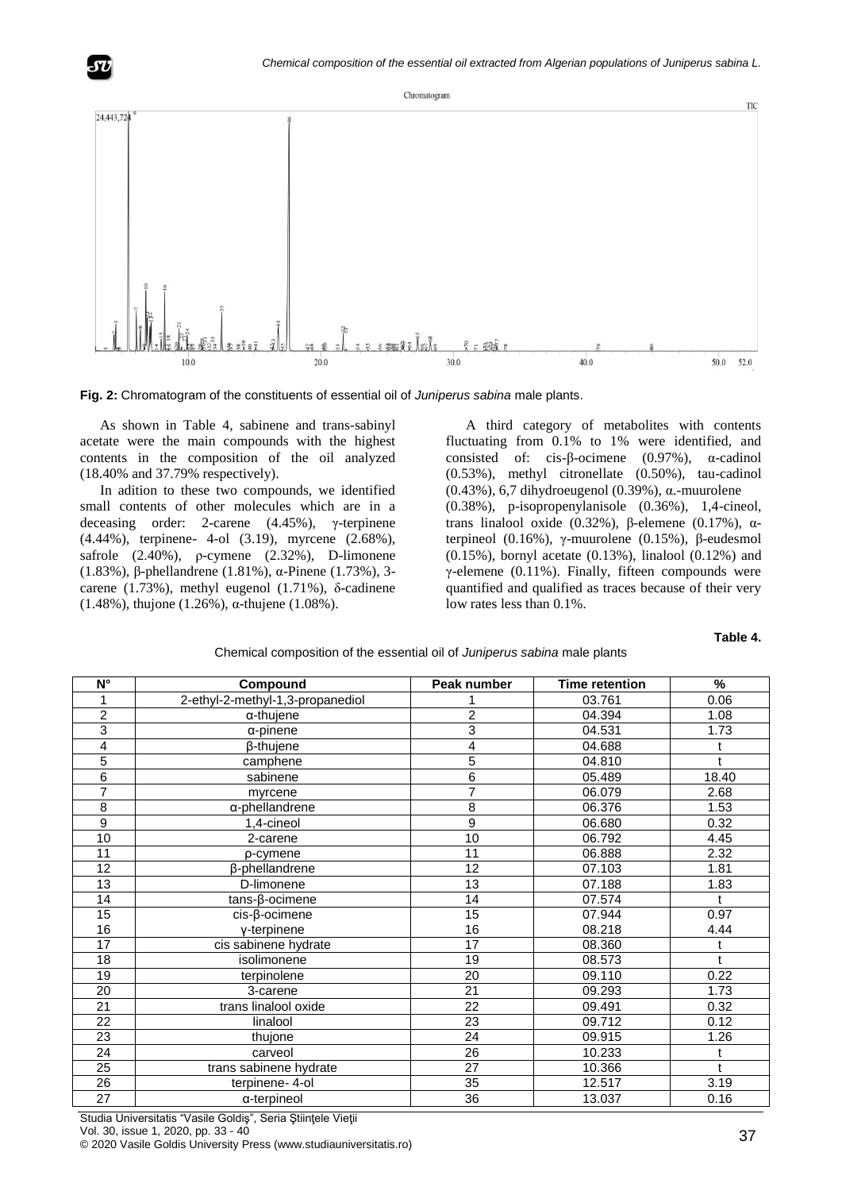



As shown in Table 4, sabinene and trans-sabinyl acetate were the main compounds with the highest contents in the composition of the oil analyzed (18.40% and 37.79% respectively).

In adition to these two compounds, we identified small contents of other molecules which are in a deceasing order: 2-carene (4.45%), γ-terpinene (4.44%), terpinene- 4-ol (3.19), myrcene (2.68%), safrole (2.40%), ρ-cymene (2.32%), D-limonene (1.83%), β-phellandrene (1.81%), α-Pinene (1.73%), 3 carene (1.73%), methyl eugenol (1.71%), δ-cadinene (1.48%), thujone (1.26%), α-thujene (1.08%).

A third category of metabolites with contents fluctuating from 0.1% to 1% were identified, and consisted of: cis-β-ocimene (0.97%), α-cadinol (0.53%), methyl citronellate (0.50%), tau-cadinol (0.43%), 6,7 dihydroeugenol (0.39%), α.-muurolene (0.38%), p-isopropenylanisole (0.36%), 1,4-cineol, trans linalool oxide (0.32%), β-elemene (0.17%), αterpineol (0.16%), γ-muurolene (0.15%), β-eudesmol (0.15%), bornyl acetate (0.13%), linalool (0.12%) and γ-elemene  $(0.11\%)$ . Finally, fifteen compounds were quantified and qualified as traces because of their very low rates less than 0.1%.

#### **Table 4.**

| Chemical composition of the essential oil of <i>Juniperus sabina</i> male plants |  |
|----------------------------------------------------------------------------------|--|
|                                                                                  |  |

| $N^{\circ}$      | Compound                         | Peak number    | <b>Time retention</b> | %           |
|------------------|----------------------------------|----------------|-----------------------|-------------|
|                  | 2-ethyl-2-methyl-1,3-propanediol |                | 03.761                | 0.06        |
| $\overline{c}$   | $\alpha$ -thujene                | $\overline{c}$ | 04.394                | 1.08        |
| 3                | $\alpha$ -pinene                 | 3              | 04.531                | 1.73        |
| 4                | β-thujene                        | 4              | 04.688                | t           |
| 5                | camphene                         | 5              | 04.810                | t           |
| $\overline{6}$   | sabinene                         | 6              | 05.489                | 18.40       |
| 7                | myrcene                          | 7              | 06.079                | 2.68        |
| 8                | α-phellandrene                   | 8              | 06.376                | 1.53        |
| $\boldsymbol{9}$ | 1,4-cineol                       | 9              | 06.680                | 0.32        |
| 10               | 2-carene                         | 10             | 06.792                | 4.45        |
| 11               | p-cymene                         | 11             | 06.888                | 2.32        |
| 12               | β-phellandrene                   | 12             | 07.103                | 1.81        |
| 13               | D-limonene                       | 13             | 07.188                | 1.83        |
| 14               | tans-β-ocimene                   | 14             | 07.574                | $\mathbf t$ |
| 15               | cis-β-ocimene                    | 15             | 07.944                | 0.97        |
| 16               | y-terpinene                      | 16             | 08.218                | 4.44        |
| 17               | cis sabinene hydrate             | 17             | 08.360                | t           |
| 18               | isolimonene                      | 19             | 08.573                | t           |
| 19               | terpinolene                      | 20             | 09.110                | 0.22        |
| 20               | 3-carene                         | 21             | 09.293                | 1.73        |
| 21               | trans linalool oxide             | 22             | 09.491                | 0.32        |
| 22               | linalool                         | 23             | 09.712                | 0.12        |
| 23               | thujone                          | 24             | 09.915                | 1.26        |
| 24               | carveol                          | 26             | 10.233                | t           |
| 25               | trans sabinene hydrate           | 27             | 10.366                | t           |
| 26               | terpinene- 4-ol                  | 35             | 12.517                | 3.19        |
| 27               | α-terpineol                      | 36             | 13.037                | 0.16        |

Studia Universitatis "Vasile Goldiş", Seria Ştiinţele Vieţii Vol. 30, issue 1, 2020, pp. 33 - 40 © 2020 Vasile Goldis University Press (www.studiauniversitatis.ro)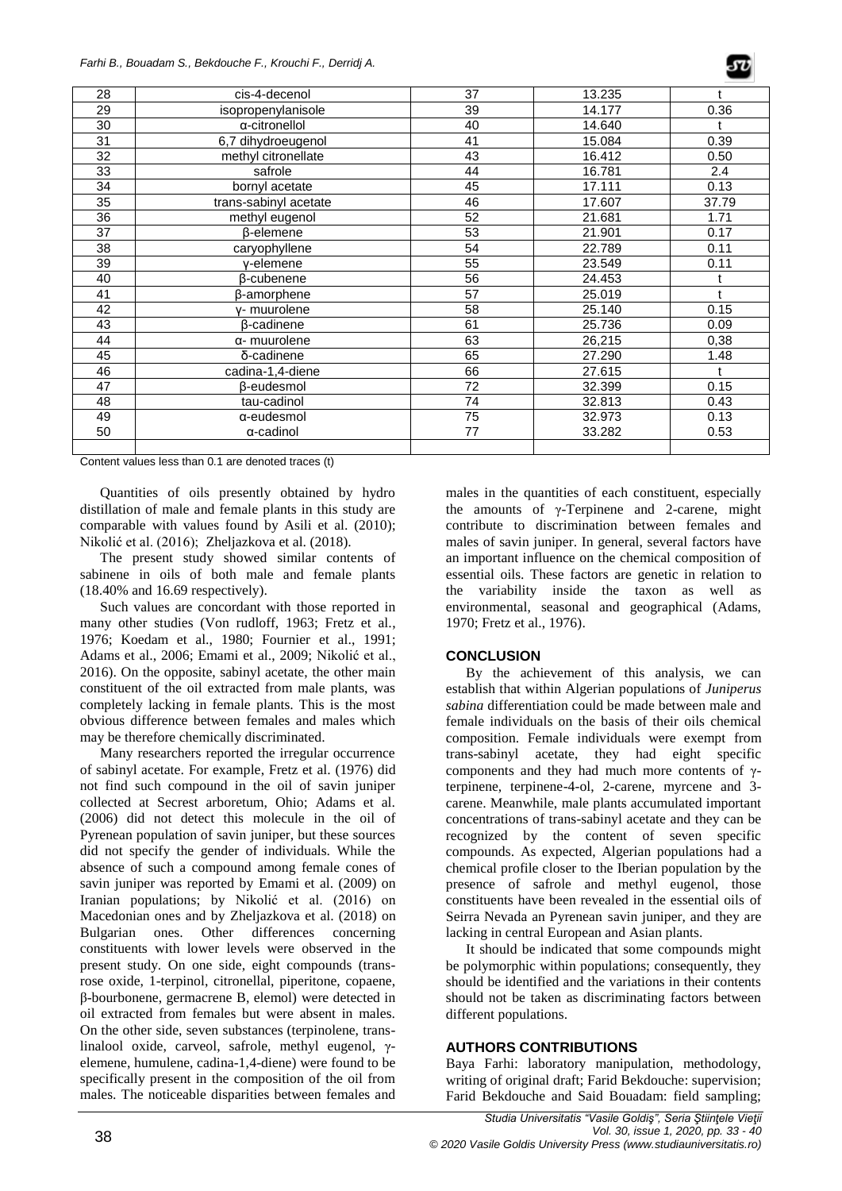| 28 | cis-4-decenol         | 37 | 13.235 |       |
|----|-----------------------|----|--------|-------|
| 29 | isopropenylanisole    | 39 | 14.177 | 0.36  |
| 30 | a-citronellol         | 40 | 14.640 |       |
| 31 | 6,7 dihydroeugenol    | 41 | 15.084 | 0.39  |
| 32 | methyl citronellate   | 43 | 16.412 | 0.50  |
| 33 | safrole               | 44 | 16.781 | 2.4   |
| 34 | bornyl acetate        | 45 | 17.111 | 0.13  |
| 35 | trans-sabinyl acetate | 46 | 17.607 | 37.79 |
| 36 | methyl eugenol        | 52 | 21.681 | 1.71  |
| 37 | β-elemene             | 53 | 21.901 | 0.17  |
| 38 | caryophyllene         | 54 | 22.789 | 0.11  |
| 39 | v-elemene             | 55 | 23.549 | 0.11  |
| 40 | β-cubenene            | 56 | 24.453 |       |
| 41 | β-amorphene           | 57 | 25.019 |       |
| 42 | y- muurolene          | 58 | 25.140 | 0.15  |
| 43 | <b>B-cadinene</b>     | 61 | 25.736 | 0.09  |
| 44 | α- muurolene          | 63 | 26,215 | 0,38  |
| 45 | δ-cadinene            | 65 | 27.290 | 1.48  |
| 46 | cadina-1,4-diene      | 66 | 27.615 |       |
| 47 | β-eudesmol            | 72 | 32.399 | 0.15  |
| 48 | tau-cadinol           | 74 | 32.813 | 0.43  |
| 49 | α-eudesmol            | 75 | 32.973 | 0.13  |
| 50 | α-cadinol             | 77 | 33.282 | 0.53  |
|    |                       |    |        |       |

Content values less than 0.1 are denoted traces (t)

Quantities of oils presently obtained by hydro distillation of male and female plants in this study are comparable with values found by Asili et al. (2010); Nikolić et al. (2016); Zheljazkova et al. (2018).

The present study showed similar contents of sabinene in oils of both male and female plants (18.40% and 16.69 respectively).

Such values are concordant with those reported in many other studies (Von rudloff, 1963; Fretz et al., 1976; Koedam et al., 1980; Fournier et al., 1991; Adams et al., 2006; Emami et al., 2009; Nikolić et al., 2016). On the opposite, sabinyl acetate, the other main constituent of the oil extracted from male plants, was completely lacking in female plants. This is the most obvious difference between females and males which may be therefore chemically discriminated.

Many researchers reported the irregular occurrence of sabinyl acetate. For example, Fretz et al. (1976) did not find such compound in the oil of savin juniper collected at Secrest arboretum, Ohio; Adams et al. (2006) did not detect this molecule in the oil of Pyrenean population of savin juniper, but these sources did not specify the gender of individuals. While the absence of such a compound among female cones of savin juniper was reported by Emami et al. (2009) on Iranian populations; by Nikolić et al. (2016) on Macedonian ones and by Zheljazkova et al. (2018) on Bulgarian ones. Other differences concerning constituents with lower levels were observed in the present study. On one side, eight compounds (transrose oxide, 1-terpinol, citronellal, piperitone, copaene, β-bourbonene, germacrene B, elemol) were detected in oil extracted from females but were absent in males. On the other side, seven substances (terpinolene, translinalool oxide, carveol, safrole, methyl eugenol, γelemene, humulene, cadina-1,4-diene) were found to be specifically present in the composition of the oil from males. The noticeable disparities between females and

males in the quantities of each constituent, especially the amounts of γ-Terpinene and 2-carene, might contribute to discrimination between females and males of savin juniper. In general, several factors have an important influence on the chemical composition of essential oils. These factors are genetic in relation to the variability inside the taxon as well as environmental, seasonal and geographical (Adams, 1970; Fretz et al., 1976).

## **CONCLUSION**

By the achievement of this analysis, we can establish that within Algerian populations of *Juniperus sabina* differentiation could be made between male and female individuals on the basis of their oils chemical composition. Female individuals were exempt from trans-sabinyl acetate, they had eight specific components and they had much more contents of γterpinene, terpinene-4-ol, 2-carene, myrcene and 3 carene. Meanwhile, male plants accumulated important concentrations of trans-sabinyl acetate and they can be recognized by the content of seven specific compounds. As expected, Algerian populations had a chemical profile closer to the Iberian population by the presence of safrole and methyl eugenol, those constituents have been revealed in the essential oils of Seirra Nevada an Pyrenean savin juniper, and they are lacking in central European and Asian plants.

It should be indicated that some compounds might be polymorphic within populations; consequently, they should be identified and the variations in their contents should not be taken as discriminating factors between different populations.

# **AUTHORS CONTRIBUTIONS**

Baya Farhi: laboratory manipulation, methodology, writing of original draft; Farid Bekdouche: supervision; Farid Bekdouche and Said Bouadam: field sampling;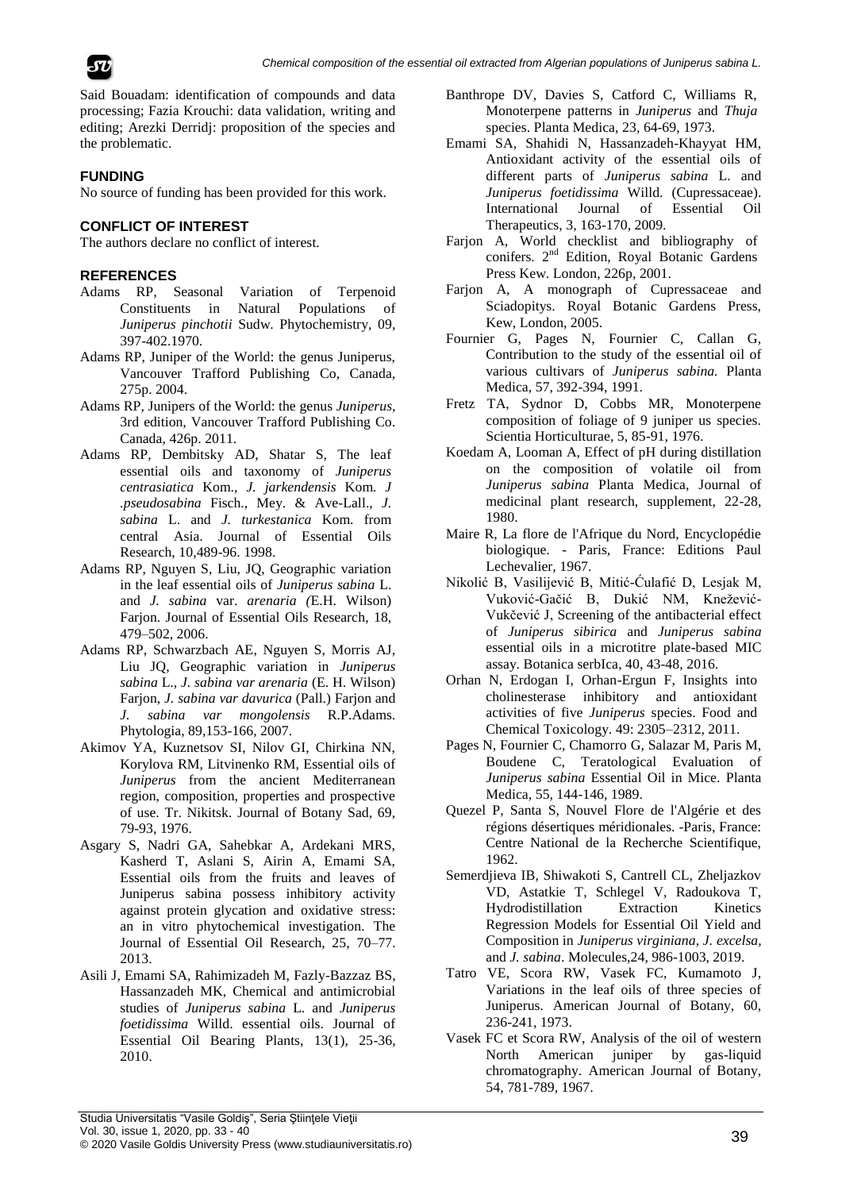



Said Bouadam: identification of compounds and data processing; Fazia Krouchi: data validation, writing and editing; Arezki Derridj: proposition of the species and the problematic.

# **FUNDING**

No source of funding has been provided for this work.

# **CONFLICT OF INTEREST**

The authors declare no conflict of interest.

## **REFERENCES**

- Adams RP, Seasonal Variation of Terpenoid Constituents in Natural Populations of *Juniperus pinchotii* Sudw. Phytochemistry, 09, 397-402.1970.
- Adams RP, Juniper of the World: the genus Juniperus, Vancouver Trafford Publishing Co, Canada, 275p. 2004.
- Adams RP, Junipers of the World: the genus *Juniperus*, 3rd edition, Vancouver Trafford Publishing Co. Canada, 426p. 2011.
- Adams RP, Dembitsky AD, Shatar S, The leaf essential oils and taxonomy of *Juniperus centrasiatica* Kom., *J. jarkendensis* Kom. *J .pseudosabina* Fisch., Mey. & Ave-Lall., *J. sabina* L. and *J. turkestanica* Kom. from central Asia. Journal of Essential Oils Research, 10,489-96. 1998.
- Adams RP, Nguyen S, Liu, JQ, Geographic variation in the leaf essential oils of *Juniperus sabina* L. and *J. sabina* var. *arenaria (*E.H. Wilson) Farjon. Journal of Essential Oils Research, 18, 479–502, 2006.
- Adams RP, Schwarzbach AE, Nguyen S, Morris AJ, Liu JQ, Geographic variation in *Juniperus sabina* L., *J. sabina var arenaria* (E. H. Wilson) Farjon, *J. sabina var davurica* (Pall.) Farjon and *J. sabina var mongolensis* R.P.Adams. Phytologia, 89,153-166, 2007.
- Akimov YA, Kuznetsov SI, Nilov GI, Chirkina NN, Korylova RM, Litvinenko RM, Essential oils of *Juniperus* from the ancient Mediterranean region, composition, properties and prospective of use. Tr. Nikitsk. Journal of Botany Sad, 69, 79-93, 1976.
- Asgary S, Nadri GA, Sahebkar A, Ardekani MRS, Kasherd T, Aslani S, Airin A, Emami SA, Essential oils from the fruits and leaves of Juniperus sabina possess inhibitory activity against protein glycation and oxidative stress: an in vitro phytochemical investigation. The Journal of Essential Oil Research, 25, 70–77. 2013.
- Asili J, Emami SA, Rahimizadeh M, Fazly-Bazzaz BS, Hassanzadeh MK, Chemical and antimicrobial studies of *Juniperus sabina* L. and *Juniperus foetidissima* Willd. essential oils. Journal of Essential Oil Bearing Plants, 13(1), 25-36, 2010.
- Banthrope DV, Davies S, Catford C, Williams R, Monoterpene patterns in *Juniperus* and *Thuja* species. Planta Medica, 23, 64-69, 1973.
- Emami SA, Shahidi N, Hassanzadeh-Khayyat HM, Antioxidant activity of the essential oils of different parts of *Juniperus sabina* L. and *Juniperus foetidissima* Willd. (Cupressaceae). International Journal of Essential Oil Therapeutics, 3, 163-170, 2009.
- Farjon A, World checklist and bibliography of conifers. 2<sup>nd</sup> Edition, Royal Botanic Gardens Press Kew. London, 226p, 2001.
- Farjon A, A monograph of Cupressaceae and Sciadopitys. Royal Botanic Gardens Press, Kew, London, 2005.
- Fournier G, Pages N, Fournier C, Callan G, Contribution to the study of the essential oil of various cultivars of *Juniperus sabina.* Planta Medica, 57, 392-394, 1991.
- Fretz TA, Sydnor D, Cobbs MR, Monoterpene composition of foliage of 9 juniper us species. Scientia Horticulturae, 5, 85-91, 1976.
- Koedam A, Looman A, Effect of pH during distillation on the composition of volatile oil from *Juniperus sabina* Planta Medica, Journal of medicinal plant research, supplement, 22-28, 1980.
- Maire R, La flore de l'Afrique du Nord, Encyclopédie biologique. - Paris, France: Editions Paul Lechevalier, 1967.
- Nikolić B, Vasilijević B, Mitić-Ćulafić D, Lesjak M, Vuković-Gačić B, Dukić NM, Knežević-Vukčević J, Screening of the antibacterial effect of *Juniperus sibirica* and *Juniperus sabina* essential oils in a microtitre plate-based MIC assay. Botanica serbIca, 40, 43-48, 2016.
- Orhan N, Erdogan I, Orhan-Ergun F, Insights into cholinesterase inhibitory and antioxidant activities of five *Juniperus* species. Food and Chemical Toxicology. 49: 2305–2312, 2011.
- Pages N, Fournier C, Chamorro G, Salazar M, Paris M, Boudene C, Teratological Evaluation of *Juniperus sabina* Essential Oil in Mice. Planta Medica, 55, 144-146, 1989.
- Quezel P, Santa S, Nouvel Flore de l'Algérie et des régions désertiques méridionales. -Paris, France: Centre National de la Recherche Scientifique, 1962.
- Semerdjieva IB, Shiwakoti S, Cantrell CL, Zheljazkov VD, Astatkie T, Schlegel V, Radoukova T, Hydrodistillation Extraction Kinetics Regression Models for Essential Oil Yield and Composition in *Juniperus virginiana*, *J. excelsa*, and *J. sabina*. Molecules,24, 986-1003, 2019.
- Tatro VE, Scora RW, Vasek FC, Kumamoto J, Variations in the leaf oils of three species of Juniperus. American Journal of Botany, 60, 236-241, 1973.
- Vasek FC et Scora RW, Analysis of the oil of western North American juniper by gas-liquid chromatography. American Journal of Botany, 54, 781-789, 1967.